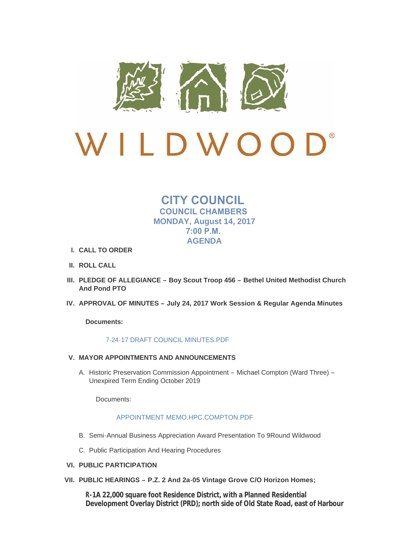

# $\bigcup$ LDWO  $\left(\begin{array}{c} \end{array}\right)$

## **CITY COUNCIL COUNCIL CHAMBERS MONDAY, August 14, 2017 7:00 P.M. AGENDA**

- **CALL TO ORDER I.**
- **ROLL CALL II.**
- **PLEDGE OF ALLEGIANCE – Boy Scout Troop 456 – Bethel United Methodist Church III. And Pond PTO**
- **APPROVAL OF MINUTES – July 24, 2017 Work Session & Regular Agenda Minutes IV.**

**Documents:**

## [7-24-17 DRAFT COUNCIL MINUTES.PDF](http://cityofwildwood.com/AgendaCenter/ViewFile/Item/11868?fileID=17382)

- **MAYOR APPOINTMENTS AND ANNOUNCEMENTS V.**
	- A. Historic Preservation Commission Appointment Michael Compton (Ward Three) -Unexpired Term Ending October 2019

Documents:

## [APPOINTMENT MEMO.HPC.COMPTON.PDF](http://cityofwildwood.com/AgendaCenter/ViewFile/Item/11870?fileID=17383)

- B. Semi-Annual Business Appreciation Award Presentation To 9Round Wildwood
- C. Public Participation And Hearing Procedures
- **PUBLIC PARTICIPATION VI.**
- **PUBLIC HEARINGS – P.Z. 2 And 2a-05 Vintage Grove C/O Horizon Homes; VII.**

**R-1A 22,000 square foot Residence District, with a Planned Residential Development Overlay District (PRD); north side of Old State Road, east of Harbour**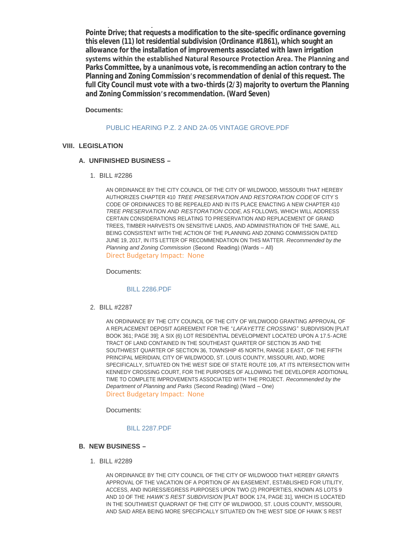**Development Overlay District (PRD); north side of Old State Road, east of Harbour Pointe Drive; that requests a modification to the site-specific ordinance governing this eleven (11) lot residential subdivision (Ordinance #1861), which sought an allowance for the installation of improvements associated with lawn irrigation systems within the established Natural Resource Protection Area. The Planning and Parks Committee, by a unanimous vote, is recommending an action contrary to the Planning and Zoning Commission's recommendation of denial of this request. The full City Council must vote with a two-thirds (2/3) majority to overturn the Planning and Zoning Commission's recommendation. (Ward Seven)**

**Documents:**

[PUBLIC HEARING P.Z. 2 AND 2A-05 VINTAGE GROVE.PDF](http://cityofwildwood.com/AgendaCenter/ViewFile/Item/11874?fileID=17296)

## **LEGISLATION VIII.**

## **UNFINISHED BUSINESS – A.**

BILL #2286 1.

AN ORDINANCE BY THE CITY COUNCIL OF THE CITY OF WILDWOOD, MISSOURI THAT HEREBY AUTHORIZES CHAPTER 410 *TREE PRESERVATION AND RESTORATION CODE* OF CITY'S CODE OF ORDINANCES TO BE REPEALED AND IN ITS PLACE ENACTING A NEW CHAPTER 410 *TREE PRESERVATION AND RESTORATION CODE*, AS FOLLOWS, WHICH WILL ADDRESS CERTAIN CONSIDERATIONS RELATING TO PRESERVATION AND REPLACEMENT OF GRAND TREES, TIMBER HARVESTS ON SENSITIVE LANDS, AND ADMINISTRATION OF THE SAME, ALL BEING CONSISTENT WITH THE ACTION OF THE PLANNING AND ZONING COMMISSION DATED JUNE 19, 2017, IN ITS LETTER OF RECOMMENDATION ON THIS MATTER. *Recommended by the Planning and Zoning Commission* (Second Reading) (Wards – All) Direct Budgetary Impact: None

Documents:

#### [BILL 2286.PDF](http://cityofwildwood.com/AgendaCenter/ViewFile/Item/11877?fileID=17297)

BILL #2287 2.

AN ORDINANCE BY THE CITY COUNCIL OF THE CITY OF WILDWOOD GRANTING APPROVAL OF A REPLACEMENT DEPOSIT AGREEMENT FOR THE "*LAFAYETTE CROSSING*" SUBDIVISION [PLAT BOOK 361; PAGE 39]; A SIX (6) LOT RESIDENTIAL DEVELOPMENT LOCATED UPON A 17.5-ACRE TRACT OF LAND CONTAINED IN THE SOUTHEAST QUARTER OF SECTION 35 AND THE SOUTHWEST QUARTER OF SECTION 36, TOWNSHIP 45 NORTH, RANGE 3 EAST, OF THE FIFTH PRINCIPAL MERIDIAN, CITY OF WILDWOOD, ST. LOUIS COUNTY, MISSOURI, AND, MORE SPECIFICALLY, SITUATED ON THE WEST SIDE OF STATE ROUTE 109, AT ITS INTERSECTION WITH KENNEDY CROSSING COURT, FOR THE PURPOSES OF ALLOWING THE DEVELOPER ADDITIONAL TIME TO COMPLETE IMPROVEMENTS ASSOCIATED WITH THE PROJECT. *Recommended by the Department of Planning and Parks* (Second Reading) (Ward – One) Direct Budgetary Impact: None

Documents:

#### [BILL 2287.PDF](http://cityofwildwood.com/AgendaCenter/ViewFile/Item/11878?fileID=17298)

#### **NEW BUSINESS – B.**

BILL #2289 1.

AN ORDINANCE BY THE CITY COUNCIL OF THE CITY OF WILDWOOD THAT HEREBY GRANTS APPROVAL OF THE VACATION OF A PORTION OF AN EASEMENT, ESTABLISHED FOR UTILITY, ACCESS, AND INGRESS/EGRESS PURPOSES UPON TWO (2) PROPERTIES, KNOWN AS LOTS 9 AND 10 OF THE *HAWK'S REST SUBDIVISION* [PLAT BOOK 174, PAGE 31], WHICH IS LOCATED IN THE SOUTHWEST QUADRANT OF THE CITY OF WILDWOOD, ST. LOUIS COUNTY, MISSOURI, AND SAID AREA BEING MORE SPECIFICALLY SITUATED ON THE WEST SIDE OF HAWK'S REST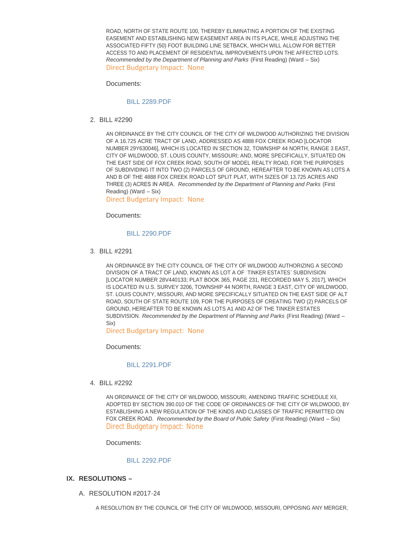ROAD, NORTH OF STATE ROUTE 100, THEREBY ELIMINATING A PORTION OF THE EXISTING EASEMENT AND ESTABLISHING NEW EASEMENT AREA IN ITS PLACE, WHILE ADJUSTING THE ASSOCIATED FIFTY (50) FOOT BUILDING LINE SETBACK, WHICH WILL ALLOW FOR BETTER ACCESS TO AND PLACEMENT OF RESIDENTIAL IMPROVEMENTS UPON THE AFFECTED LOTS. *Recommended by the Department of Planning and Parks* (First Reading) (Ward – Six) Direct Budgetary Impact: None

Documents:

#### [BILL 2289.PDF](http://cityofwildwood.com/AgendaCenter/ViewFile/Item/11880?fileID=17299)

BILL #2290 2.

AN ORDINANCE BY THE CITY COUNCIL OF THE CITY OF WILDWOOD AUTHORIZING THE DIVISION OF A 16.725 ACRE TRACT OF LAND, ADDRESSED AS 4888 FOX CREEK ROAD [LOCATOR NUMBER 29Y630046], WHICH IS LOCATED IN SECTION 32, TOWNSHIP 44 NORTH, RANGE 3 EAST, CITY OF WILDWOOD, ST. LOUIS COUNTY, MISSOURI; AND, MORE SPECIFICALLY, SITUATED ON THE EAST SIDE OF FOX CREEK ROAD, SOUTH OF MODEL REALTY ROAD, FOR THE PURPOSES OF SUBDIVIDING IT INTO TWO (2) PARCELS OF GROUND, HEREAFTER TO BE KNOWN AS LOTS A AND B OF THE 4888 FOX CREEK ROAD LOT SPLIT PLAT, WITH SIZES OF 13.725 ACRES AND THREE (3) ACRES IN AREA. *Recommended by the Department of Planning and Parks* (First Reading) (Ward – Six)

Direct Budgetary Impact: None

Documents:

#### [BILL 2290.PDF](http://cityofwildwood.com/AgendaCenter/ViewFile/Item/11881?fileID=17300)

BILL #2291 3.

AN ORDINANCE BY THE CITY COUNCIL OF THE CITY OF WILDWOOD AUTHORIZING A SECOND DIVISION OF A TRACT OF LAND, KNOWN AS LOT A OF 'TINKER ESTATES' SUBDIVISION [LOCATOR NUMBER 28V440133; PLAT BOOK 365, PAGE 231, RECORDED MAY 5, 2017], WHICH IS LOCATED IN U.S. SURVEY 3206, TOWNSHIP 44 NORTH, RANGE 3 EAST, CITY OF WILDWOOD, ST. LOUIS COUNTY, MISSOURI, AND MORE SPECIFICALLY SITUATED ON THE EAST SIDE OF ALT ROAD, SOUTH OF STATE ROUTE 109, FOR THE PURPOSES OF CREATING TWO (2) PARCELS OF GROUND, HEREAFTER TO BE KNOWN AS LOTS A1 AND A2 OF THE TINKER ESTATES SUBDIVISION. *Recommended by the Department of Planning and Parks* (First Reading) (Ward – Six)

Direct Budgetary Impact: None

Documents:

#### [BILL 2291.PDF](http://cityofwildwood.com/AgendaCenter/ViewFile/Item/11882?fileID=17301)

BILL #2292 4.

AN ORDINANCE OF THE CITY OF WILDWOOD, MISSOURI, AMENDING TRAFFIC SCHEDULE XII, ADOPTED BY SECTION 390.010 OF THE CODE OF ORDINANCES OF THE CITY OF WILDWOOD, BY ESTABLISHING A NEW REGULATION OF THE KINDS AND CLASSES OF TRAFFIC PERMITTED ON FOX CREEK ROAD. *Recommended by the Board of Public Safety* (First Reading) (Ward – Six) Direct Budgetary Impact: None

Documents:

## [BILL 2292.PDF](http://cityofwildwood.com/AgendaCenter/ViewFile/Item/11883?fileID=17302)

- **RESOLUTIONS – IX.**
	- A. RESOLUTION #2017-24

A RESOLUTION BY THE COUNCIL OF THE CITY OF WILDWOOD, MISSOURI, OPPOSING ANY MERGER,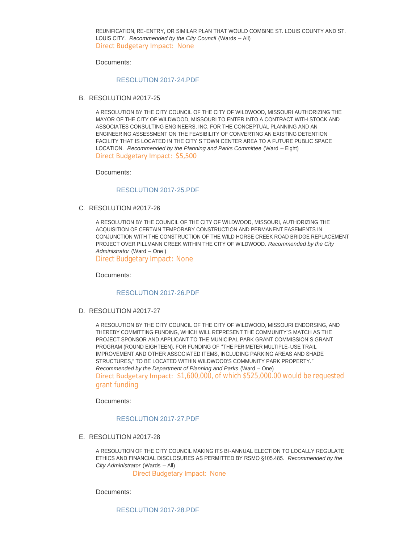REUNIFICATION, RE-ENTRY, OR SIMILAR PLAN THAT WOULD COMBINE ST. LOUIS COUNTY AND ST. LOUIS CITY. *Recommended by the City Council* (Wards – All) Direct Budgetary Impact: None

Documents:

#### [RESOLUTION 2017-24.PDF](http://cityofwildwood.com/AgendaCenter/ViewFile/Item/11885?fileID=17303)

B. RESOLUTION #2017-25

A RESOLUTION BY THE CITY COUNCIL OF THE CITY OF WILDWOOD, MISSOURI AUTHORIZING THE MAYOR OF THE CITY OF WILDWOOD, MISSOURI TO ENTER INTO A CONTRACT WITH STOCK AND ASSOCIATES CONSULTING ENGINEERS, INC. FOR THE CONCEPTUAL PLANNING AND AN ENGINEERING ASSESSMENT ON THE FEASIBILITY OF CONVERTING AN EXISTING DETENTION FACILITY THAT IS LOCATED IN THE CITY'S TOWN CENTER AREA TO A FUTURE PUBLIC SPACE LOCATION. *Recommended by the Planning and Parks Committee* (Ward – Eight) Direct Budgetary Impact: \$5,500

Documents:

#### [RESOLUTION 2017-25.PDF](http://cityofwildwood.com/AgendaCenter/ViewFile/Item/11886?fileID=17304)

C. RESOLUTION #2017-26

A RESOLUTION BY THE COUNCIL OF THE CITY OF WILDWOOD, MISSOURI, AUTHORIZING THE ACQUISITION OF CERTAIN TEMPORARY CONSTRUCTION AND PERMANENT EASEMENTS IN CONJUNCTION WITH THE CONSTRUCTION OF THE WILD HORSE CREEK ROAD BRIDGE REPLACEMENT PROJECT OVER PILLMANN CREEK WITHIN THE CITY OF WILDWOOD. *Recommended by the City Administrator* (Ward – One )

Direct Budgetary Impact: None

Documents:

#### [RESOLUTION 2017-26.PDF](http://cityofwildwood.com/AgendaCenter/ViewFile/Item/11887?fileID=17305)

D. RESOLUTION #2017-27

A RESOLUTION BY THE CITY COUNCIL OF THE CITY OF WILDWOOD, MISSOURI ENDORSING, AND THEREBY COMMITTING FUNDING, WHICH WILL REPRESENT THE COMMUNITY'S MATCH AS THE PROJECT SPONSOR AND APPLICANT TO THE MUNICIPAL PARK GRANT COMMISSION'S GRANT PROGRAM (ROUND EIGHTEEN), FOR FUNDING OF "THE PERIMETER MULTIPLE-USE TRAIL IMPROVEMENT AND OTHER ASSOCIATED ITEMS, INCLUDING PARKING AREAS AND SHADE STRUCTURES," TO BE LOCATED WITHIN WILDWOOD'S COMMUNITY PARK PROPERTY." *Recommended by the Department of Planning and Parks* (Ward – One) Direct Budgetary Impact: \$1,600,000, of which \$525,000.00 would be requested grant funding

Documents:

#### [RESOLUTION 2017-27.PDF](http://cityofwildwood.com/AgendaCenter/ViewFile/Item/11888?fileID=17306)

E. RESOLUTION #2017-28

A RESOLUTION OF THE CITY COUNCIL MAKING ITS BI-ANNUAL ELECTION TO LOCALLY REGULATE ETHICS AND FINANCIAL DISCLOSURES AS PERMITTED BY RSMO §105.485. *Recommended by the City Administrator* (Wards – All)

Direct Budgetary Impact: None

Documents: